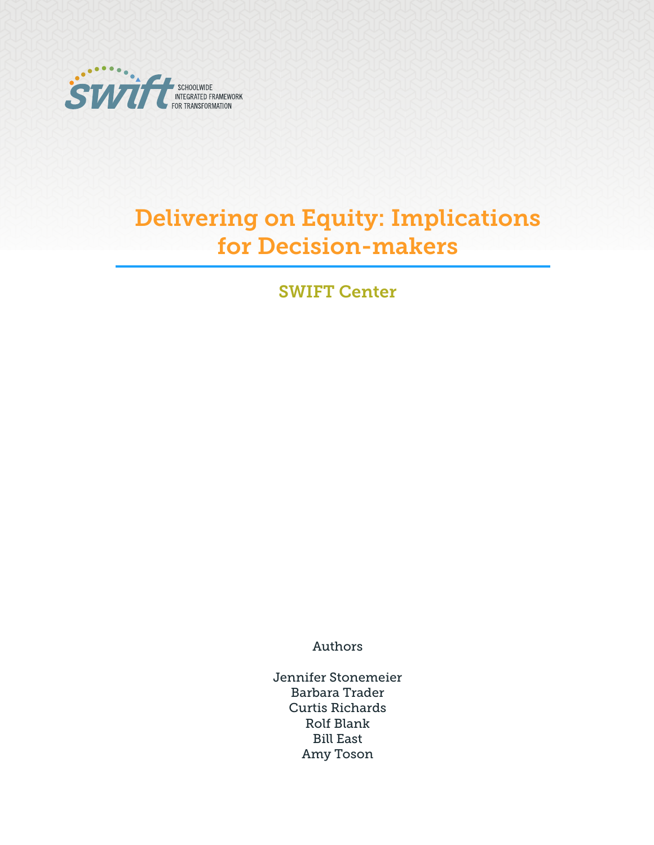

# Delivering on Equity: Implications for Decision-makers

SWIFT Center

Authors

Jennifer Stonemeier Barbara Trader Curtis Richards Rolf Blank Bill East Amy Toson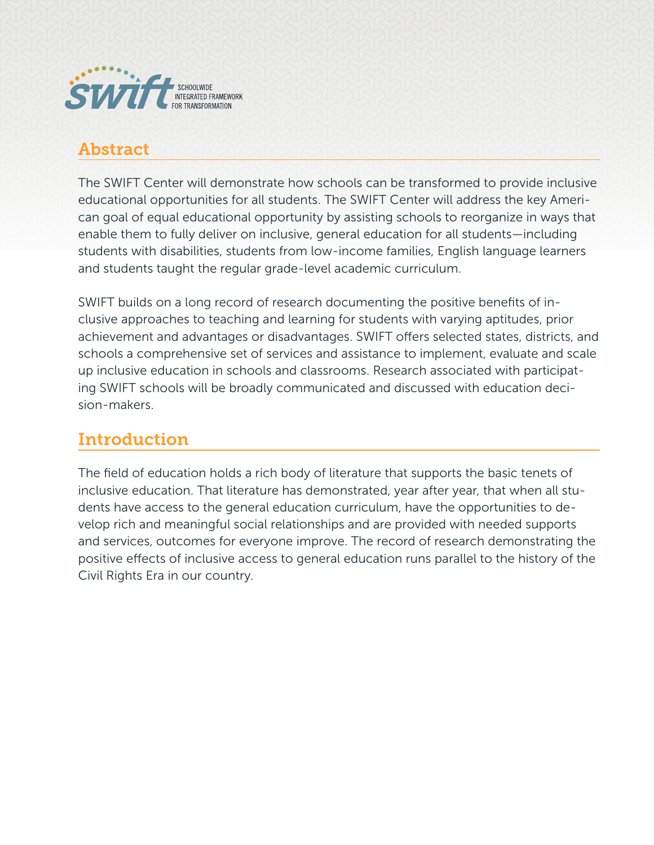

### Abstract

The SWIFT Center will demonstrate how schools can be transformed to provide inclusive educational opportunities for all students. The SWIFT Center will address the key American goal of equal educational opportunity by assisting schools to reorganize in ways that enable them to fully deliver on inclusive, general education for all students—including students with disabilities, students from low-income families, English language learners and students taught the regular grade-level academic curriculum.

SWIFT builds on a long record of research documenting the positive benefits of inclusive approaches to teaching and learning for students with varying aptitudes, prior achievement and advantages or disadvantages. SWIFT offers selected states, districts, and schools a comprehensive set of services and assistance to implement, evaluate and scale up inclusive education in schools and classrooms. Research associated with participating SWIFT schools will be broadly communicated and discussed with education decision-makers.

## Introduction

The field of education holds a rich body of literature that supports the basic tenets of inclusive education. That literature has demonstrated, year after year, that when all students have access to the general education curriculum, have the opportunities to develop rich and meaningful social relationships and are provided with needed supports and services, outcomes for everyone improve. The record of research demonstrating the positive effects of inclusive access to general education runs parallel to the history of the Civil Rights Era in our country.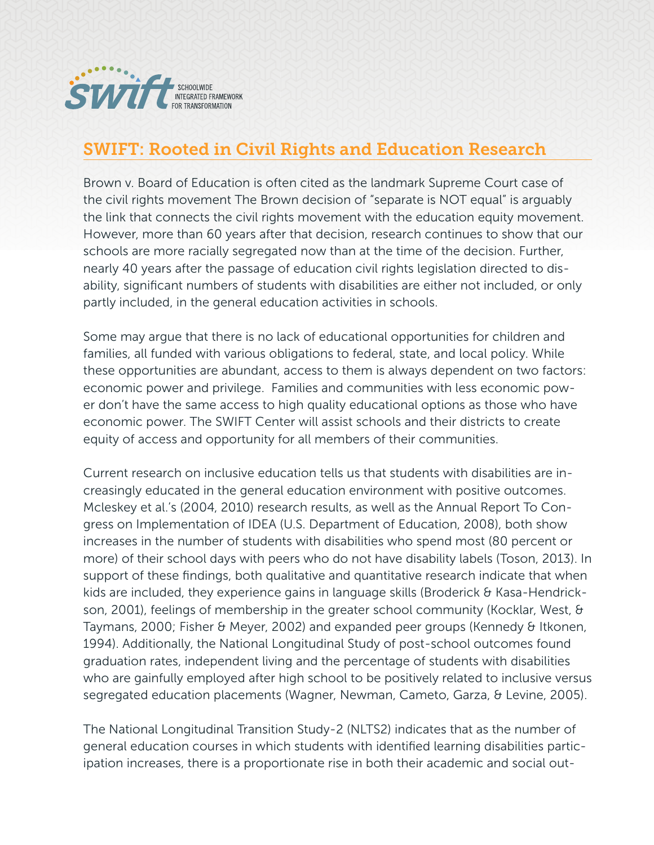

#### SWIFT: Rooted in Civil Rights and Education Research

Brown v. Board of Education is often cited as the landmark Supreme Court case of the civil rights movement The Brown decision of "separate is NOT equal" is arguably the link that connects the civil rights movement with the education equity movement. However, more than 60 years after that decision, research continues to show that our schools are more racially segregated now than at the time of the decision. Further, nearly 40 years after the passage of education civil rights legislation directed to disability, significant numbers of students with disabilities are either not included, or only partly included, in the general education activities in schools.

Some may argue that there is no lack of educational opportunities for children and families, all funded with various obligations to federal, state, and local policy. While these opportunities are abundant, access to them is always dependent on two factors: economic power and privilege. Families and communities with less economic power don't have the same access to high quality educational options as those who have economic power. The SWIFT Center will assist schools and their districts to create equity of access and opportunity for all members of their communities.

Current research on inclusive education tells us that students with disabilities are increasingly educated in the general education environment with positive outcomes. Mcleskey et al.'s (2004, 2010) research results, as well as the Annual Report To Congress on Implementation of IDEA (U.S. Department of Education, 2008), both show increases in the number of students with disabilities who spend most (80 percent or more) of their school days with peers who do not have disability labels (Toson, 2013). In support of these findings, both qualitative and quantitative research indicate that when kids are included, they experience gains in language skills (Broderick & Kasa-Hendrickson, 2001), feelings of membership in the greater school community (Kocklar, West, & Taymans, 2000; Fisher & Meyer, 2002) and expanded peer groups (Kennedy & Itkonen, 1994). Additionally, the National Longitudinal Study of post-school outcomes found graduation rates, independent living and the percentage of students with disabilities who are gainfully employed after high school to be positively related to inclusive versus segregated education placements (Wagner, Newman, Cameto, Garza, & Levine, 2005).

The National Longitudinal Transition Study-2 (NLTS2) indicates that as the number of general education courses in which students with identified learning disabilities participation increases, there is a proportionate rise in both their academic and social out-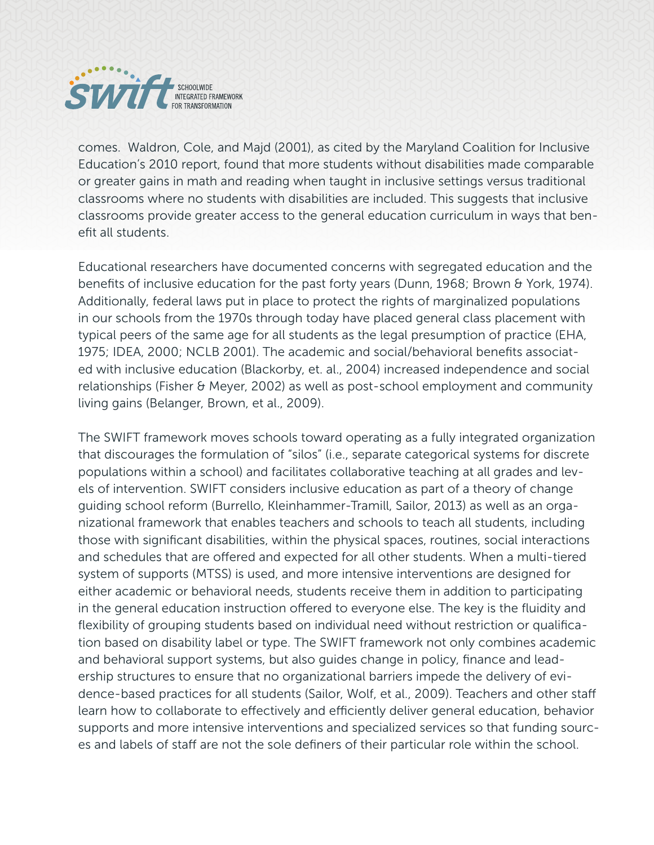

comes. Waldron, Cole, and Majd (2001), as cited by the Maryland Coalition for Inclusive Education's 2010 report, found that more students without disabilities made comparable or greater gains in math and reading when taught in inclusive settings versus traditional classrooms where no students with disabilities are included. This suggests that inclusive classrooms provide greater access to the general education curriculum in ways that benefit all students.

Educational researchers have documented concerns with segregated education and the benefits of inclusive education for the past forty years (Dunn, 1968; Brown & York, 1974). Additionally, federal laws put in place to protect the rights of marginalized populations in our schools from the 1970s through today have placed general class placement with typical peers of the same age for all students as the legal presumption of practice (EHA, 1975; IDEA, 2000; NCLB 2001). The academic and social/behavioral benefits associated with inclusive education (Blackorby, et. al., 2004) increased independence and social relationships (Fisher & Meyer, 2002) as well as post-school employment and community living gains (Belanger, Brown, et al., 2009).

The SWIFT framework moves schools toward operating as a fully integrated organization that discourages the formulation of "silos" (i.e., separate categorical systems for discrete populations within a school) and facilitates collaborative teaching at all grades and levels of intervention. SWIFT considers inclusive education as part of a theory of change guiding school reform (Burrello, Kleinhammer-Tramill, Sailor, 2013) as well as an organizational framework that enables teachers and schools to teach all students, including those with significant disabilities, within the physical spaces, routines, social interactions and schedules that are offered and expected for all other students. When a multi-tiered system of supports (MTSS) is used, and more intensive interventions are designed for either academic or behavioral needs, students receive them in addition to participating in the general education instruction offered to everyone else. The key is the fluidity and flexibility of grouping students based on individual need without restriction or qualification based on disability label or type. The SWIFT framework not only combines academic and behavioral support systems, but also guides change in policy, finance and leadership structures to ensure that no organizational barriers impede the delivery of evidence-based practices for all students (Sailor, Wolf, et al., 2009). Teachers and other staff learn how to collaborate to effectively and efficiently deliver general education, behavior supports and more intensive interventions and specialized services so that funding sources and labels of staff are not the sole definers of their particular role within the school.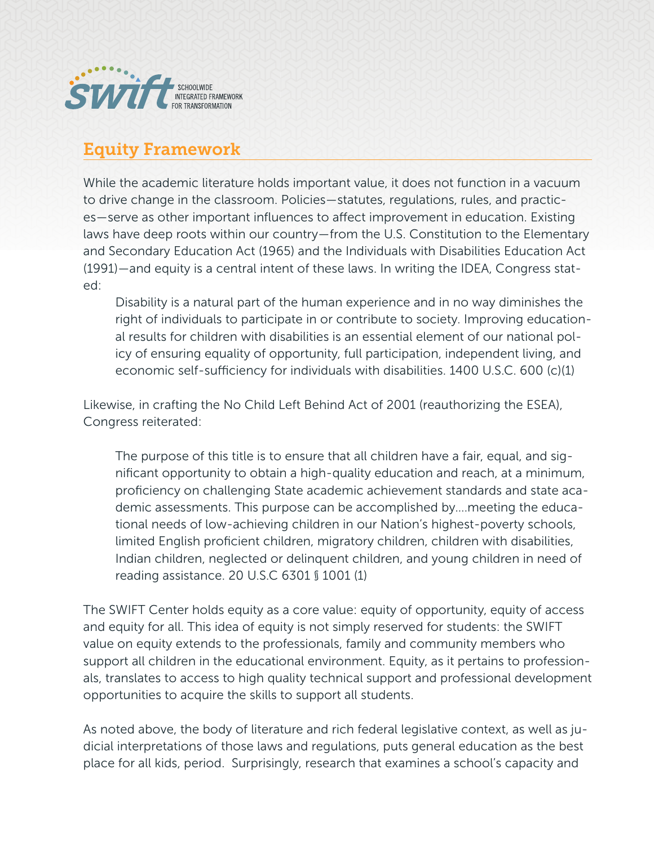

### Equity Framework

While the academic literature holds important value, it does not function in a vacuum to drive change in the classroom. Policies—statutes, regulations, rules, and practices—serve as other important influences to affect improvement in education. Existing laws have deep roots within our country—from the U.S. Constitution to the Elementary and Secondary Education Act (1965) and the Individuals with Disabilities Education Act (1991)—and equity is a central intent of these laws. In writing the IDEA, Congress stated:

Disability is a natural part of the human experience and in no way diminishes the right of individuals to participate in or contribute to society. Improving educational results for children with disabilities is an essential element of our national policy of ensuring equality of opportunity, full participation, independent living, and economic self-sufficiency for individuals with disabilities. 1400 U.S.C. 600 (c)(1)

Likewise, in crafting the No Child Left Behind Act of 2001 (reauthorizing the ESEA), Congress reiterated:

The purpose of this title is to ensure that all children have a fair, equal, and significant opportunity to obtain a high-quality education and reach, at a minimum, proficiency on challenging State academic achievement standards and state academic assessments. This purpose can be accomplished by….meeting the educational needs of low-achieving children in our Nation's highest-poverty schools, limited English proficient children, migratory children, children with disabilities, Indian children, neglected or delinquent children, and young children in need of reading assistance. 20 U.S.C 6301 § 1001 (1)

The SWIFT Center holds equity as a core value: equity of opportunity, equity of access and equity for all. This idea of equity is not simply reserved for students: the SWIFT value on equity extends to the professionals, family and community members who support all children in the educational environment. Equity, as it pertains to professionals, translates to access to high quality technical support and professional development opportunities to acquire the skills to support all students.

As noted above, the body of literature and rich federal legislative context, as well as judicial interpretations of those laws and regulations, puts general education as the best place for all kids, period. Surprisingly, research that examines a school's capacity and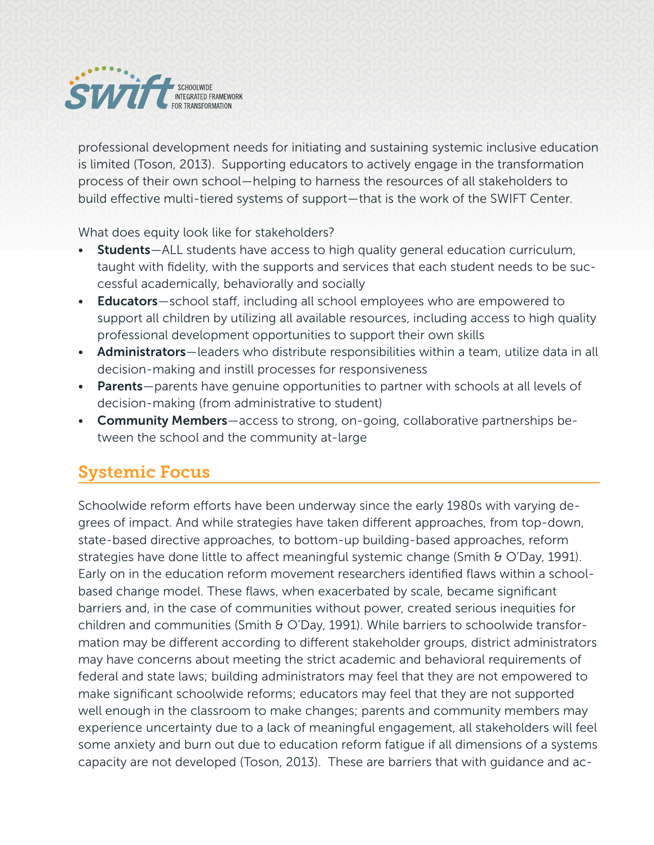

professional development needs for initiating and sustaining systemic inclusive education is limited (Toson, 2013). Supporting educators to actively engage in the transformation process of their own school—helping to harness the resources of all stakeholders to build effective multi-tiered systems of support—that is the work of the SWIFT Center.

What does equity look like for stakeholders?

- **Students**—ALL students have access to high quality general education curriculum, taught with fidelity, with the supports and services that each student needs to be successful academically, behaviorally and socially
- **Educators**—school staff, including all school employees who are empowered to support all children by utilizing all available resources, including access to high quality professional development opportunities to support their own skills
- Administrators-leaders who distribute responsibilities within a team, utilize data in all decision-making and instill processes for responsiveness
- Parents—parents have genuine opportunities to partner with schools at all levels of decision-making (from administrative to student)
- Community Members-access to strong, on-going, collaborative partnerships between the school and the community at-large

# Systemic Focus

Schoolwide reform efforts have been underway since the early 1980s with varying degrees of impact. And while strategies have taken different approaches, from top-down, state-based directive approaches, to bottom-up building-based approaches, reform strategies have done little to affect meaningful systemic change (Smith & O'Day, 1991). Early on in the education reform movement researchers identified flaws within a schoolbased change model. These flaws, when exacerbated by scale, became significant barriers and, in the case of communities without power, created serious inequities for children and communities (Smith & O'Day, 1991). While barriers to schoolwide transformation may be different according to different stakeholder groups, district administrators may have concerns about meeting the strict academic and behavioral requirements of federal and state laws; building administrators may feel that they are not empowered to make significant schoolwide reforms; educators may feel that they are not supported well enough in the classroom to make changes; parents and community members may experience uncertainty due to a lack of meaningful engagement, all stakeholders will feel some anxiety and burn out due to education reform fatigue if all dimensions of a systems capacity are not developed (Toson, 2013). These are barriers that with guidance and ac-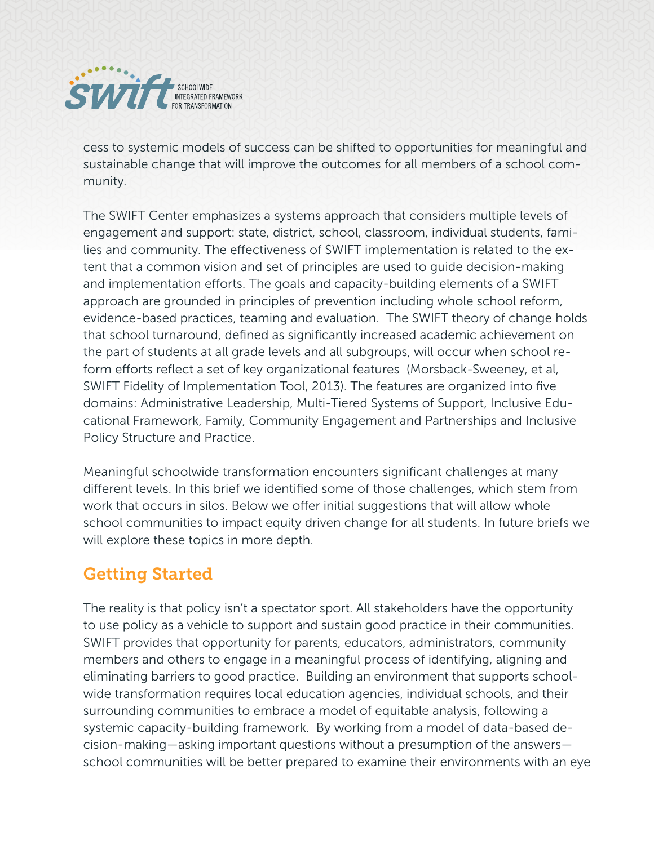

cess to systemic models of success can be shifted to opportunities for meaningful and sustainable change that will improve the outcomes for all members of a school community.

The SWIFT Center emphasizes a systems approach that considers multiple levels of engagement and support: state, district, school, classroom, individual students, families and community. The effectiveness of SWIFT implementation is related to the extent that a common vision and set of principles are used to guide decision-making and implementation efforts. The goals and capacity-building elements of a SWIFT approach are grounded in principles of prevention including whole school reform, evidence-based practices, teaming and evaluation. The SWIFT theory of change holds that school turnaround, defined as significantly increased academic achievement on the part of students at all grade levels and all subgroups, will occur when school reform efforts reflect a set of key organizational features (Morsback-Sweeney, et al, SWIFT Fidelity of Implementation Tool, 2013). The features are organized into five domains: Administrative Leadership, Multi-Tiered Systems of Support, Inclusive Educational Framework, Family, Community Engagement and Partnerships and Inclusive Policy Structure and Practice.

Meaningful schoolwide transformation encounters significant challenges at many different levels. In this brief we identified some of those challenges, which stem from work that occurs in silos. Below we offer initial suggestions that will allow whole school communities to impact equity driven change for all students. In future briefs we will explore these topics in more depth.

#### Getting Started

The reality is that policy isn't a spectator sport. All stakeholders have the opportunity to use policy as a vehicle to support and sustain good practice in their communities. SWIFT provides that opportunity for parents, educators, administrators, community members and others to engage in a meaningful process of identifying, aligning and eliminating barriers to good practice. Building an environment that supports schoolwide transformation requires local education agencies, individual schools, and their surrounding communities to embrace a model of equitable analysis, following a systemic capacity-building framework. By working from a model of data-based decision-making—asking important questions without a presumption of the answers school communities will be better prepared to examine their environments with an eye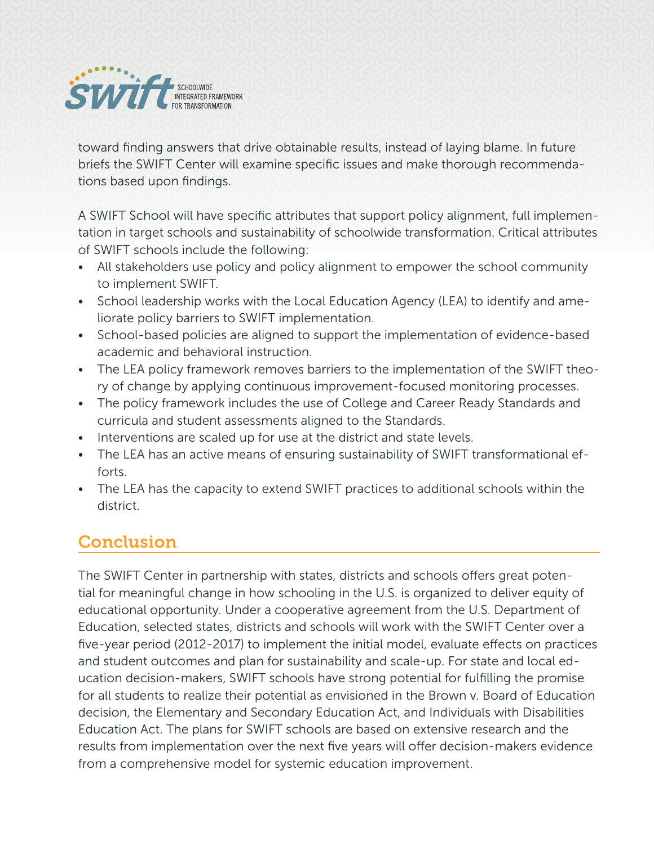

toward finding answers that drive obtainable results, instead of laying blame. In future briefs the SWIFT Center will examine specific issues and make thorough recommendations based upon findings.

A SWIFT School will have specific attributes that support policy alignment, full implementation in target schools and sustainability of schoolwide transformation. Critical attributes of SWIFT schools include the following:

- All stakeholders use policy and policy alignment to empower the school community to implement SWIFT.
- School leadership works with the Local Education Agency (LEA) to identify and ameliorate policy barriers to SWIFT implementation.
- School-based policies are aligned to support the implementation of evidence-based academic and behavioral instruction.
- The LEA policy framework removes barriers to the implementation of the SWIFT theory of change by applying continuous improvement-focused monitoring processes.
- The policy framework includes the use of College and Career Ready Standards and curricula and student assessments aligned to the Standards.
- Interventions are scaled up for use at the district and state levels.
- The LEA has an active means of ensuring sustainability of SWIFT transformational efforts.
- The LEA has the capacity to extend SWIFT practices to additional schools within the district.

# Conclusion

The SWIFT Center in partnership with states, districts and schools offers great potential for meaningful change in how schooling in the U.S. is organized to deliver equity of educational opportunity. Under a cooperative agreement from the U.S. Department of Education, selected states, districts and schools will work with the SWIFT Center over a five-year period (2012-2017) to implement the initial model, evaluate effects on practices and student outcomes and plan for sustainability and scale-up. For state and local education decision-makers, SWIFT schools have strong potential for fulfilling the promise for all students to realize their potential as envisioned in the Brown v. Board of Education decision, the Elementary and Secondary Education Act, and Individuals with Disabilities Education Act. The plans for SWIFT schools are based on extensive research and the results from implementation over the next five years will offer decision-makers evidence from a comprehensive model for systemic education improvement.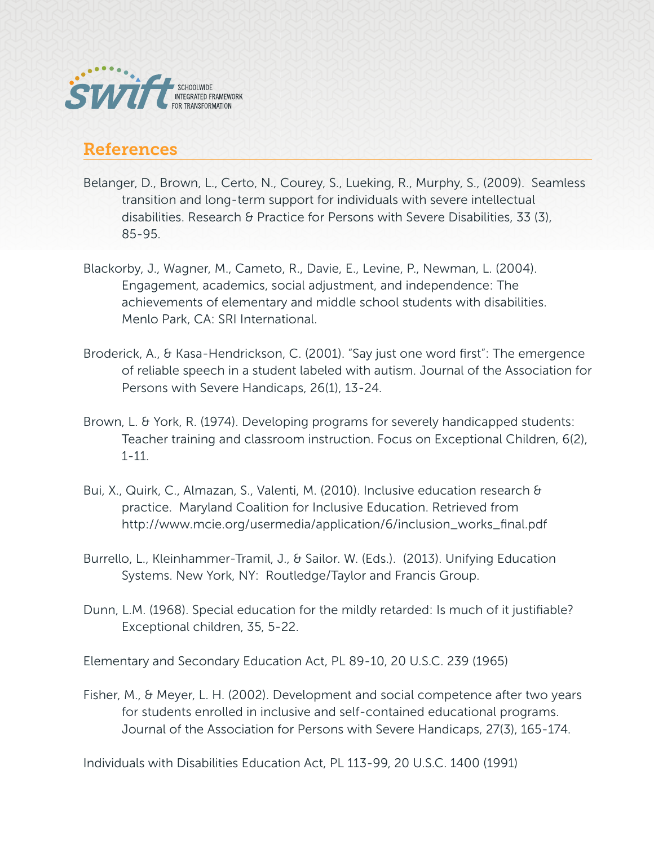

#### References

- Belanger, D., Brown, L., Certo, N., Courey, S., Lueking, R., Murphy, S., (2009). Seamless transition and long-term support for individuals with severe intellectual disabilities. Research & Practice for Persons with Severe Disabilities, 33 (3), 85-95.
- Blackorby, J., Wagner, M., Cameto, R., Davie, E., Levine, P., Newman, L. (2004). Engagement, academics, social adjustment, and independence: The achievements of elementary and middle school students with disabilities. Menlo Park, CA: SRI International.
- Broderick, A., & Kasa-Hendrickson, C. (2001). "Say just one word first": The emergence of reliable speech in a student labeled with autism. Journal of the Association for Persons with Severe Handicaps, 26(1), 13-24.
- Brown, L. & York, R. (1974). Developing programs for severely handicapped students: Teacher training and classroom instruction. Focus on Exceptional Children, 6(2), 1-11.
- Bui, X., Quirk, C., Almazan, S., Valenti, M. (2010). Inclusive education research & practice. Maryland Coalition for Inclusive Education. Retrieved from http://www.mcie.org/usermedia/application/6/inclusion\_works\_final.pdf
- Burrello, L., Kleinhammer-Tramil, J., & Sailor. W. (Eds.). (2013). Unifying Education Systems. New York, NY: Routledge/Taylor and Francis Group.
- Dunn, L.M. (1968). Special education for the mildly retarded: Is much of it justifiable? Exceptional children, 35, 5-22.

Elementary and Secondary Education Act, PL 89-10, 20 U.S.C. 239 (1965)

Fisher, M., & Meyer, L. H. (2002). Development and social competence after two years for students enrolled in inclusive and self-contained educational programs. Journal of the Association for Persons with Severe Handicaps, 27(3), 165-174.

Individuals with Disabilities Education Act, PL 113-99, 20 U.S.C. 1400 (1991)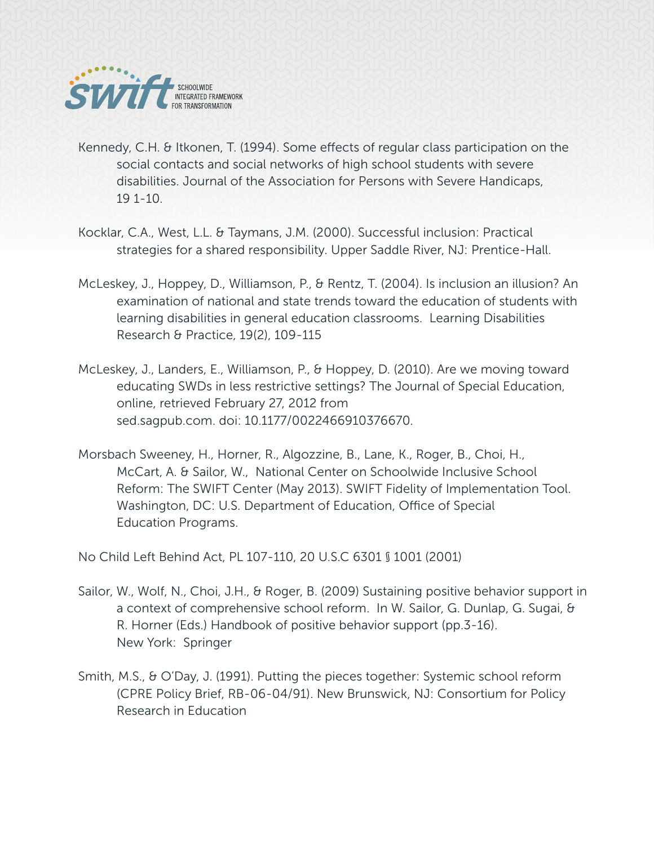

- Kennedy, C.H. & Itkonen, T. (1994). Some effects of regular class participation on the social contacts and social networks of high school students with severe disabilities. Journal of the Association for Persons with Severe Handicaps, 19 1-10.
- Kocklar, C.A., West, L.L. & Taymans, J.M. (2000). Successful inclusion: Practical strategies for a shared responsibility. Upper Saddle River, NJ: Prentice-Hall.
- McLeskey, J., Hoppey, D., Williamson, P., & Rentz, T. (2004). Is inclusion an illusion? An examination of national and state trends toward the education of students with learning disabilities in general education classrooms. Learning Disabilities Research & Practice, 19(2), 109-115
- McLeskey, J., Landers, E., Williamson, P., & Hoppey, D. (2010). Are we moving toward educating SWDs in less restrictive settings? The Journal of Special Education, online, retrieved February 27, 2012 from sed.sagpub.com. doi: 10.1177/0022466910376670.
- Morsbach Sweeney, H., Horner, R., Algozzine, B., Lane, K., Roger, B., Choi, H., McCart, A. & Sailor, W., National Center on Schoolwide Inclusive School Reform: The SWIFT Center (May 2013). SWIFT Fidelity of Implementation Tool. Washington, DC: U.S. Department of Education, Office of Special Education Programs.

No Child Left Behind Act, PL 107-110, 20 U.S.C 6301 § 1001 (2001)

- Sailor, W., Wolf, N., Choi, J.H., & Roger, B. (2009) Sustaining positive behavior support in a context of comprehensive school reform. In W. Sailor, G. Dunlap, G. Sugai, & R. Horner (Eds.) Handbook of positive behavior support (pp.3-16). New York: Springer
- Smith, M.S., & O'Day, J. (1991). Putting the pieces together: Systemic school reform (CPRE Policy Brief, RB-06-04/91). New Brunswick, NJ: Consortium for Policy Research in Education